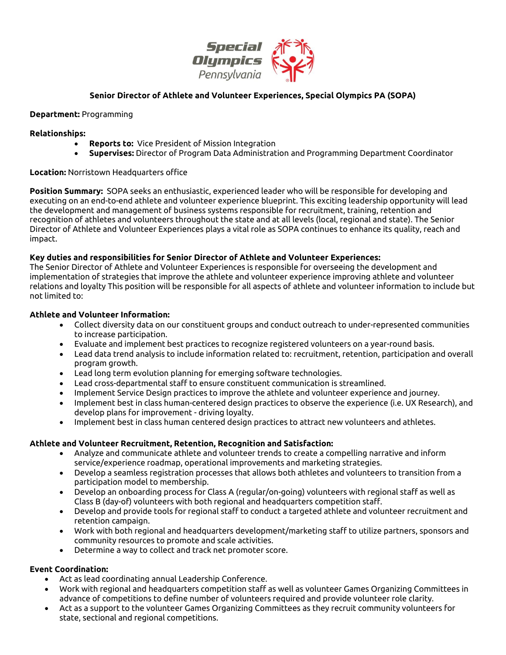

# **Senior Director of Athlete and Volunteer Experiences, Special Olympics PA (SOPA)**

## **Department:** Programming

#### **Relationships:**

- **Reports to:** Vice President of Mission Integration
- **Supervises:** Director of Program Data Administration and Programming Department Coordinator

## **Location:** Norristown Headquarters office

**Position Summary:** SOPA seeks an enthusiastic, experienced leader who will be responsible for developing and executing on an end-to-end athlete and volunteer experience blueprint. This exciting leadership opportunity will lead the development and management of business systems responsible for recruitment, training, retention and recognition of athletes and volunteers throughout the state and at all levels (local, regional and state). The Senior Director of Athlete and Volunteer Experiences plays a vital role as SOPA continues to enhance its quality, reach and impact.

## **Key duties and responsibilities for Senior Director of Athlete and Volunteer Experiences:**

The Senior Director of Athlete and Volunteer Experiences is responsible for overseeing the development and implementation of strategies that improve the athlete and volunteer experience improving athlete and volunteer relations and loyalty This position will be responsible for all aspects of athlete and volunteer information to include but not limited to:

#### **Athlete and Volunteer Information:**

- Collect diversity data on our constituent groups and conduct outreach to under-represented communities to increase participation.
- Evaluate and implement best practices to recognize registered volunteers on a year-round basis.
- Lead data trend analysis to include information related to: recruitment, retention, participation and overall program growth.
- Lead long term evolution planning for emerging software technologies.
- Lead cross-departmental staff to ensure constituent communication is streamlined.
- Implement Service Design practices to improve the athlete and volunteer experience and journey.
- Implement best in class human-centered design practices to observe the experience (i.e. UX Research), and develop plans for improvement - driving loyalty.
- Implement best in class human centered design practices to attract new volunteers and athletes.

#### **Athlete and Volunteer Recruitment, Retention, Recognition and Satisfaction:**

- Analyze and communicate athlete and volunteer trends to create a compelling narrative and inform service/experience roadmap, operational improvements and marketing strategies.
- Develop a seamless registration processes that allows both athletes and volunteers to transition from a participation model to membership.
- Develop an onboarding process for Class A (regular/on-going) volunteers with regional staff as well as Class B (day-of) volunteers with both regional and headquarters competition staff.
- Develop and provide tools for regional staff to conduct a targeted athlete and volunteer recruitment and retention campaign.
- Work with both regional and headquarters development/marketing staff to utilize partners, sponsors and community resources to promote and scale activities.
- Determine a way to collect and track net promoter score.

## **Event Coordination:**

- Act as lead coordinating annual Leadership Conference.
- Work with regional and headquarters competition staff as well as volunteer Games Organizing Committees in advance of competitions to define number of volunteers required and provide volunteer role clarity.
- Act as a support to the volunteer Games Organizing Committees as they recruit community volunteers for state, sectional and regional competitions.